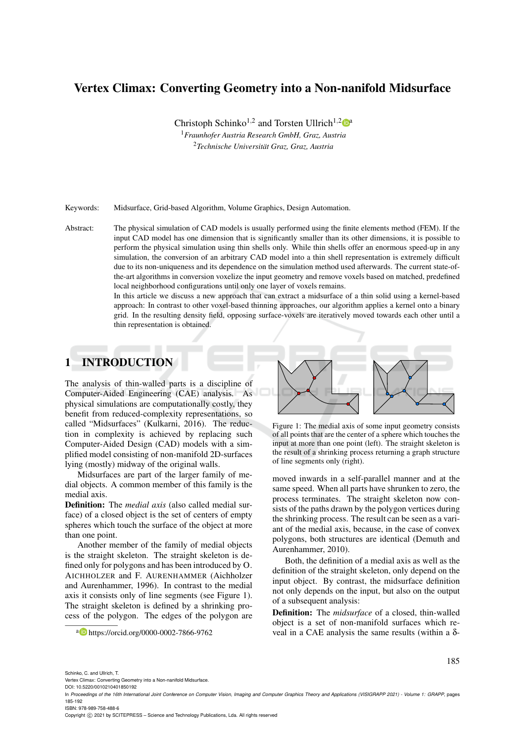# Vertex Climax: Converting Geometry into a Non-nanifold Midsurface

Christoph Schinko<sup>1,2</sup> and Torsten Ullrich<sup>1,2</sup>

<sup>1</sup>*Fraunhofer Austria Research GmbH, Graz, Austria* <sup>2</sup>*Technische Universitat Graz, Graz, Austria ¨*

Keywords: Midsurface, Grid-based Algorithm, Volume Graphics, Design Automation.

Abstract: The physical simulation of CAD models is usually performed using the finite elements method (FEM). If the input CAD model has one dimension that is significantly smaller than its other dimensions, it is possible to perform the physical simulation using thin shells only. While thin shells offer an enormous speed-up in any simulation, the conversion of an arbitrary CAD model into a thin shell representation is extremely difficult due to its non-uniqueness and its dependence on the simulation method used afterwards. The current state-ofthe-art algorithms in conversion voxelize the input geometry and remove voxels based on matched, predefined local neighborhood configurations until only one layer of voxels remains.

> In this article we discuss a new approach that can extract a midsurface of a thin solid using a kernel-based approach: In contrast to other voxel-based thinning approaches, our algorithm applies a kernel onto a binary grid. In the resulting density field, opposing surface-voxels are iteratively moved towards each other until a thin representation is obtained.

# 1 INTRODUCTION

The analysis of thin-walled parts is a discipline of Computer-Aided Engineering (CAE) analysis. As physical simulations are computationally costly, they benefit from reduced-complexity representations, so called "Midsurfaces" (Kulkarni, 2016). The reduction in complexity is achieved by replacing such Computer-Aided Design (CAD) models with a simplified model consisting of non-manifold 2D-surfaces lying (mostly) midway of the original walls.

Midsurfaces are part of the larger family of medial objects. A common member of this family is the medial axis.

Definition: The *medial axis* (also called medial surface) of a closed object is the set of centers of empty spheres which touch the surface of the object at more than one point.

Another member of the family of medial objects is the straight skeleton. The straight skeleton is defined only for polygons and has been introduced by O. AICHHOLZER and F. AURENHAMMER (Aichholzer and Aurenhammer, 1996). In contrast to the medial axis it consists only of line segments (see Figure 1). The straight skeleton is defined by a shrinking process of the polygon. The edges of the polygon are

a https://orcid.org/0000-0002-7866-9762



Figure 1: The medial axis of some input geometry consists of all points that are the center of a sphere which touches the input at more than one point (left). The straight skeleton is the result of a shrinking process returning a graph structure of line segments only (right).

moved inwards in a self-parallel manner and at the same speed. When all parts have shrunken to zero, the process terminates. The straight skeleton now consists of the paths drawn by the polygon vertices during the shrinking process. The result can be seen as a variant of the medial axis, because, in the case of convex polygons, both structures are identical (Demuth and Aurenhammer, 2010).

Both, the definition of a medial axis as well as the definition of the straight skeleton, only depend on the input object. By contrast, the midsurface definition not only depends on the input, but also on the output of a subsequent analysis:

Definition: The *midsurface* of a closed, thin-walled object is a set of non-manifold surfaces which reveal in a CAE analysis the same results (within a δ-

Schinko, C. and Ullrich, T.

Vertex Climax: Converting Geometry into a Non-nanifold Midsurface.

DOI: 10.5220/0010210401850192

Copyright  $\circled{c}$  2021 by SCITEPRESS – Science and Technology Publications, Lda. All rights reserved

In *Proceedings of the 16th International Joint Conference on Computer Vision, Imaging and Computer Graphics Theory and Applications (VISIGRAPP 2021) - Volume 1: GRAPP*, pages 185-192 ISBN: 978-989-758-488-6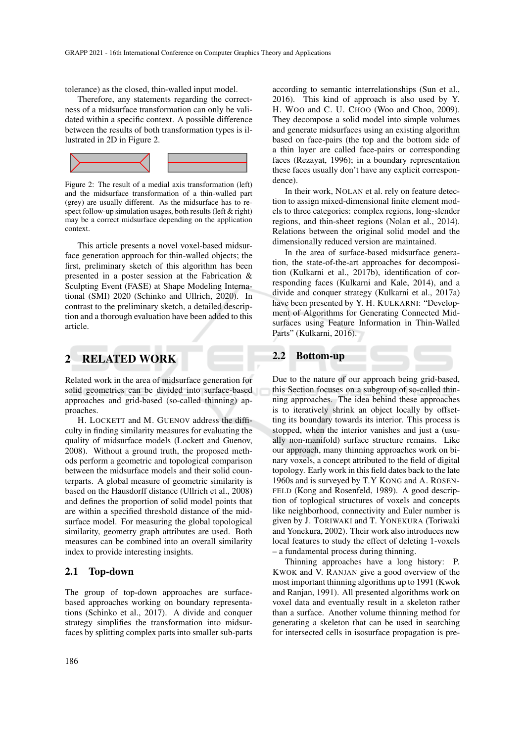tolerance) as the closed, thin-walled input model.

Therefore, any statements regarding the correctness of a midsurface transformation can only be validated within a specific context. A possible difference between the results of both transformation types is illustrated in 2D in Figure 2.



Figure 2: The result of a medial axis transformation (left) and the midsurface transformation of a thin-walled part (grey) are usually different. As the midsurface has to respect follow-up simulation usages, both results (left & right) may be a correct midsurface depending on the application context.

This article presents a novel voxel-based midsurface generation approach for thin-walled objects; the first, preliminary sketch of this algorithm has been presented in a poster session at the Fabrication & Sculpting Event (FASE) at Shape Modeling International (SMI) 2020 (Schinko and Ullrich, 2020). In contrast to the preliminary sketch, a detailed description and a thorough evaluation have been added to this article.

### 2 RELATED WORK

Related work in the area of midsurface generation for solid geometries can be divided into surface-based approaches and grid-based (so-called thinning) approaches.

H. LOCKETT and M. GUENOV address the difficulty in finding similarity measures for evaluating the quality of midsurface models (Lockett and Guenov, 2008). Without a ground truth, the proposed methods perform a geometric and topological comparison between the midsurface models and their solid counterparts. A global measure of geometric similarity is based on the Hausdorff distance (Ullrich et al., 2008) and defines the proportion of solid model points that are within a specified threshold distance of the midsurface model. For measuring the global topological similarity, geometry graph attributes are used. Both measures can be combined into an overall similarity index to provide interesting insights.

#### 2.1 Top-down

The group of top-down approaches are surfacebased approaches working on boundary representations (Schinko et al., 2017). A divide and conquer strategy simplifies the transformation into midsurfaces by splitting complex parts into smaller sub-parts

according to semantic interrelationships (Sun et al., 2016). This kind of approach is also used by Y. H. WOO and C. U. CHOO (Woo and Choo, 2009). They decompose a solid model into simple volumes and generate midsurfaces using an existing algorithm based on face-pairs (the top and the bottom side of a thin layer are called face-pairs or corresponding faces (Rezayat, 1996); in a boundary representation these faces usually don't have any explicit correspondence).

In their work, NOLAN et al. rely on feature detection to assign mixed-dimensional finite element models to three categories: complex regions, long-slender regions, and thin-sheet regions (Nolan et al., 2014). Relations between the original solid model and the dimensionally reduced version are maintained.

In the area of surface-based midsurface generation, the state-of-the-art approaches for decomposition (Kulkarni et al., 2017b), identification of corresponding faces (Kulkarni and Kale, 2014), and a divide and conquer strategy (Kulkarni et al., 2017a) have been presented by Y. H. KULKARNI: "Development of Algorithms for Generating Connected Midsurfaces using Feature Information in Thin-Walled Parts" (Kulkarni, 2016).

### 2.2 Bottom-up

Due to the nature of our approach being grid-based, this Section focuses on a subgroup of so-called thinning approaches. The idea behind these approaches is to iteratively shrink an object locally by offsetting its boundary towards its interior. This process is stopped, when the interior vanishes and just a (usually non-manifold) surface structure remains. Like our approach, many thinning approaches work on binary voxels, a concept attributed to the field of digital topology. Early work in this field dates back to the late 1960s and is surveyed by T.Y KONG and A. ROSEN-FELD (Kong and Rosenfeld, 1989). A good description of toplogical structures of voxels and concepts like neighborhood, connectivity and Euler number is given by J. TORIWAKI and T. YONEKURA (Toriwaki and Yonekura, 2002). Their work also introduces new local features to study the effect of deleting 1-voxels – a fundamental process during thinning.

Thinning approaches have a long history: P. KWOK and V. RANJAN give a good overview of the most important thinning algorithms up to 1991 (Kwok and Ranjan, 1991). All presented algorithms work on voxel data and eventually result in a skeleton rather than a surface. Another volume thinning method for generating a skeleton that can be used in searching for intersected cells in isosurface propagation is pre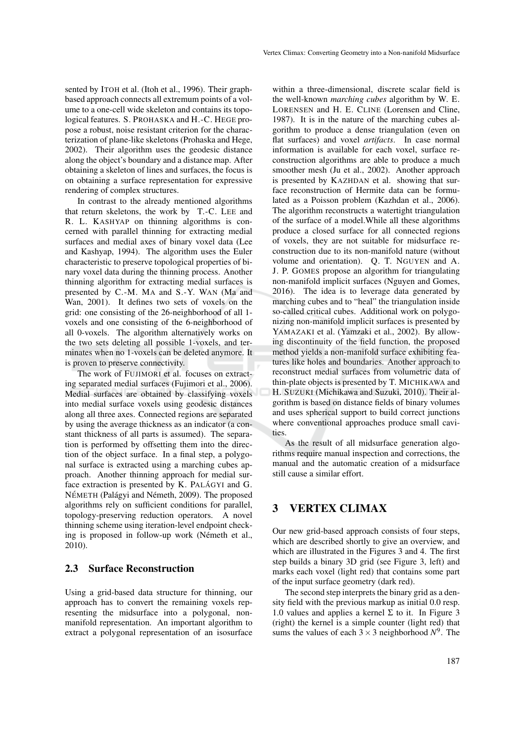sented by ITOH et al. (Itoh et al., 1996). Their graphbased approach connects all extremum points of a volume to a one-cell wide skeleton and contains its topological features. S. PROHASKA and H.-C. HEGE propose a robust, noise resistant criterion for the characterization of plane-like skeletons (Prohaska and Hege, 2002). Their algorithm uses the geodesic distance along the object's boundary and a distance map. After obtaining a skeleton of lines and surfaces, the focus is on obtaining a surface representation for expressive rendering of complex structures.

In contrast to the already mentioned algorithms that return skeletons, the work by T.-C. LEE and R. L. KASHYAP on thinning algorithms is concerned with parallel thinning for extracting medial surfaces and medial axes of binary voxel data (Lee and Kashyap, 1994). The algorithm uses the Euler characteristic to preserve topological properties of binary voxel data during the thinning process. Another thinning algorithm for extracting medial surfaces is presented by C.-M. MA and S.-Y. WAN (Ma and Wan, 2001). It defines two sets of voxels on the grid: one consisting of the 26-neighborhood of all 1 voxels and one consisting of the 6-neighborhood of all 0-voxels. The algorithm alternatively works on the two sets deleting all possible 1-voxels, and terminates when no 1-voxels can be deleted anymore. It is proven to preserve connectivity.

The work of FUJIMORI et al. focuses on extracting separated medial surfaces (Fujimori et al., 2006). Medial surfaces are obtained by classifying voxels into medial surface voxels using geodesic distances along all three axes. Connected regions are separated by using the average thickness as an indicator (a constant thickness of all parts is assumed). The separation is performed by offsetting them into the direction of the object surface. In a final step, a polygonal surface is extracted using a marching cubes approach. Another thinning approach for medial surface extraction is presented by  $K$ . PALÁGYI and  $G$ . NÉMETH (Palágyi and Németh, 2009). The proposed algorithms rely on sufficient conditions for parallel, topology-preserving reduction operators. A novel thinning scheme using iteration-level endpoint checking is proposed in follow-up work (Németh et al., 2010).

### 2.3 Surface Reconstruction

Using a grid-based data structure for thinning, our approach has to convert the remaining voxels representing the midsurface into a polygonal, nonmanifold representation. An important algorithm to extract a polygonal representation of an isosurface

within a three-dimensional, discrete scalar field is the well-known *marching cubes* algorithm by W. E. LORENSEN and H. E. CLINE (Lorensen and Cline, 1987). It is in the nature of the marching cubes algorithm to produce a dense triangulation (even on flat surfaces) and voxel *artifacts*. In case normal information is available for each voxel, surface reconstruction algorithms are able to produce a much smoother mesh (Ju et al., 2002). Another approach is presented by KAZHDAN et al. showing that surface reconstruction of Hermite data can be formulated as a Poisson problem (Kazhdan et al., 2006). The algorithm reconstructs a watertight triangulation of the surface of a model.While all these algorithms produce a closed surface for all connected regions of voxels, they are not suitable for midsurface reconstruction due to its non-manifold nature (without volume and orientation). Q. T. NGUYEN and A. J. P. GOMES propose an algorithm for triangulating non-manifold implicit surfaces (Nguyen and Gomes, 2016). The idea is to leverage data generated by marching cubes and to "heal" the triangulation inside so-called critical cubes. Additional work on polygonizing non-manifold implicit surfaces is presented by YAMAZAKI et al. (Yamzaki et al., 2002). By allowing discontinuity of the field function, the proposed method yields a non-manifold surface exhibiting features like holes and boundaries. Another approach to reconstruct medial surfaces from volumetric data of thin-plate objects is presented by T. MICHIKAWA and H. SUZUKI (Michikawa and Suzuki, 2010). Their algorithm is based on distance fields of binary volumes and uses spherical support to build correct junctions where conventional approaches produce small cavities.

As the result of all midsurface generation algorithms require manual inspection and corrections, the manual and the automatic creation of a midsurface still cause a similar effort.

## 3 VERTEX CLIMAX

Our new grid-based approach consists of four steps, which are described shortly to give an overview, and which are illustrated in the Figures 3 and 4. The first step builds a binary 3D grid (see Figure 3, left) and marks each voxel (light red) that contains some part of the input surface geometry (dark red).

The second step interprets the binary grid as a density field with the previous markup as initial 0.0 resp. 1.0 values and applies a kernel  $\Sigma$  to it. In Figure 3 (right) the kernel is a simple counter (light red) that sums the values of each  $3 \times 3$  neighborhood  $N^9$ . The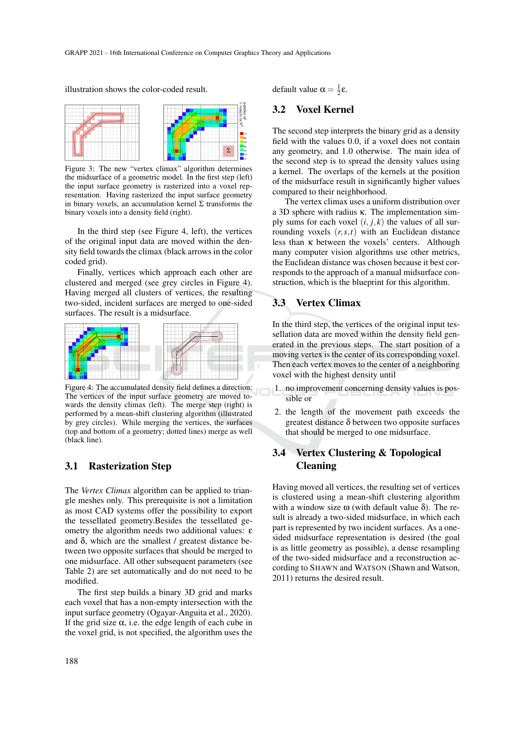illustration shows the color-coded result.



Figure 3: The new "vertex climax" algorithm determines the midsurface of a geometric model. In the first step (left) the input surface geometry is rasterized into a voxel representation. Having rasterized the input surface geometry in binary voxels, an accumulation kernel Σ transforms the binary voxels into a density field (right).

In the third step (see Figure 4, left), the vertices of the original input data are moved within the density field towards the climax (black arrows in the color coded grid).

Finally, vertices which approach each other are clustered and merged (see grey circles in Figure 4). Having merged all clusters of vertices, the resulting two-sided, incident surfaces are merged to one-sided surfaces. The result is a midsurface.



Figure 4: The accumulated density field defines a direction: The vertices of the input surface geometry are moved towards the density climax (left). The merge step (right) is performed by a mean-shift clustering algorithm (illustrated by grey circles). While merging the vertices, the surfaces (top and bottom of a geometry; dotted lines) merge as well (black line).

### 3.1 Rasterization Step

The *Vertex Climax* algorithm can be applied to triangle meshes only. This prerequisite is not a limitation as most CAD systems offer the possibility to export the tessellated geometry.Besides the tessellated geometry the algorithm needs two additional values: ε and δ, which are the smallest  $/$  greatest distance between two opposite surfaces that should be merged to one midsurface. All other subsequent parameters (see Table 2) are set automatically and do not need to be modified.

The first step builds a binary 3D grid and marks each voxel that has a non-empty intersection with the input surface geometry (Ogayar-Anguita et al., 2020). If the grid size  $\alpha$ , i.e. the edge length of each cube in the voxel grid, is not specified, the algorithm uses the default value  $\alpha = \frac{1}{2} \varepsilon$ .

### 3.2 Voxel Kernel

The second step interprets the binary grid as a density field with the values 0.0, if a voxel does not contain any geometry, and 1.0 otherwise. The main idea of the second step is to spread the density values using a kernel. The overlaps of the kernels at the position of the midsurface result in significantly higher values compared to their neighborhood.

The vertex climax uses a uniform distribution over a 3D sphere with radius κ. The implementation simply sums for each voxel  $(i, j, k)$  the values of all surrounding voxels (*r*,*s*,*t*) with an Euclidean distance less than κ between the voxels' centers. Although many computer vision algorithms use other metrics, the Euclidean distance was chosen because it best corresponds to the approach of a manual midsurface construction, which is the blueprint for this algorithm.

### 3.3 Vertex Climax

In the third step, the vertices of the original input tessellation data are moved within the density field generated in the previous steps. The start position of a moving vertex is the center of its corresponding voxel. Then each vertex moves to the center of a neighboring voxel with the highest density until

- 1. no improvement concerning density values is possible or
- 2. the length of the movement path exceeds the greatest distance  $\delta$  between two opposite surfaces that should be merged to one midsurface.

## 3.4 Vertex Clustering & Topological Cleaning

Having moved all vertices, the resulting set of vertices is clustered using a mean-shift clustering algorithm with a window size  $\omega$  (with default value  $\delta$ ). The result is already a two-sided midsurface, in which each part is represented by two incident surfaces. As a onesided midsurface representation is desired (the goal is as little geometry as possible), a dense resampling of the two-sided midsurface and a reconstruction according to SHAWN and WATSON (Shawn and Watson, 2011) returns the desired result.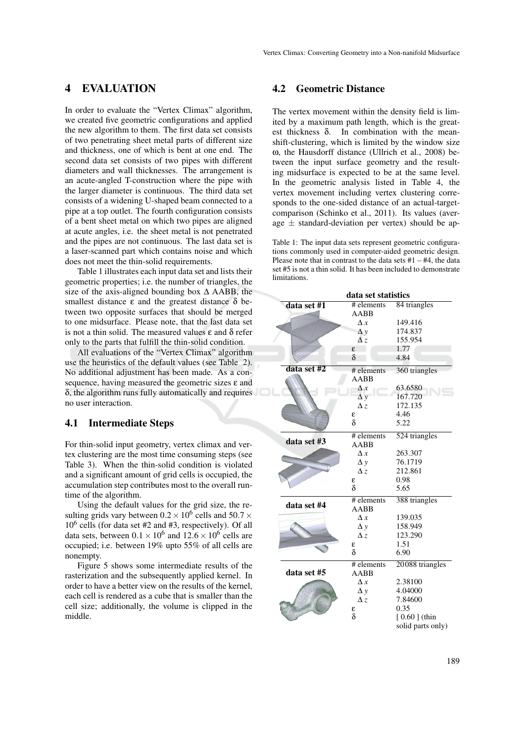### 4 EVALUATION

In order to evaluate the "Vertex Climax" algorithm, we created five geometric configurations and applied the new algorithm to them. The first data set consists of two penetrating sheet metal parts of different size and thickness, one of which is bent at one end. The second data set consists of two pipes with different diameters and wall thicknesses. The arrangement is an acute-angled T-construction where the pipe with the larger diameter is continuous. The third data set consists of a widening U-shaped beam connected to a pipe at a top outlet. The fourth configuration consists of a bent sheet metal on which two pipes are aligned at acute angles, i.e. the sheet metal is not penetrated and the pipes are not continuous. The last data set is a laser-scanned part which contains noise and which does not meet the thin-solid requirements.

Table 1 illustrates each input data set and lists their geometric properties; i.e. the number of triangles, the size of the axis-aligned bounding box  $\Delta$  AABB, the smallest distance  $\varepsilon$  and the greatest distance  $\delta$  between two opposite surfaces that should be merged to one midsurface. Please note, that the last data set is not a thin solid. The measured values ε and δ refer only to the parts that fulfill the thin-solid condition.

All evaluations of the "Vertex Climax" algorithm use the heuristics of the default values (see Table 2). No additional adjustment has been made. As a consequence, having measured the geometric sizes  $\varepsilon$  and δ, the algorithm runs fully automatically and requires no user interaction.

### 4.1 Intermediate Steps

For thin-solid input geometry, vertex climax and vertex clustering are the most time consuming steps (see Table 3). When the thin-solid condition is violated and a significant amount of grid cells is occupied, the accumulation step contributes most to the overall runtime of the algorithm.

Using the default values for the grid size, the resulting grids vary between  $0.2 \times 10^6$  cells and 50.7  $\times$ 10<sup>6</sup> cells (for data set #2 and #3, respectively). Of all data sets, between  $0.1 \times 10^6$  and  $12.6 \times 10^6$  cells are occupied; i.e. between 19% upto 55% of all cells are nonempty.

Figure 5 shows some intermediate results of the rasterization and the subsequently applied kernel. In order to have a better view on the results of the kernel, each cell is rendered as a cube that is smaller than the cell size; additionally, the volume is clipped in the middle.

### 4.2 Geometric Distance

The vertex movement within the density field is limited by a maximum path length, which is the greatest thickness δ. In combination with the meanshift-clustering, which is limited by the window size ω, the Hausdorff distance (Ullrich et al., 2008) between the input surface geometry and the resulting midsurface is expected to be at the same level. In the geometric analysis listed in Table 4, the vertex movement including vertex clustering corresponds to the one-sided distance of an actual-targetcomparison (Schinko et al., 2011). Its values (average  $\pm$  standard-deviation per vertex) should be ap-

Table 1: The input data sets represent geometric configurations commonly used in computer-aided geometric design. Please note that in contrast to the data sets  $#1 - #4$ , the data set #5 is not a thin solid. It has been included to demonstrate limitations.

|             | data set statistics |                   |  |  |
|-------------|---------------------|-------------------|--|--|
| data set #1 | # elements<br>AABB  | 84 triangles      |  |  |
|             | $\Delta x$          | 149.416           |  |  |
|             | $\Delta y$          | 174.837           |  |  |
|             | $\Delta z$          | 155.954           |  |  |
|             | £                   | 1.77              |  |  |
|             | δ                   | 4.84              |  |  |
| data set #2 | # elements          | 360 triangles     |  |  |
|             | AABB                |                   |  |  |
|             | $\Delta x$          | 63.6580           |  |  |
|             | $\Delta y$          | 167.720           |  |  |
|             | $\Delta z$          | 172.135           |  |  |
|             | ε                   | 4.46              |  |  |
|             | δ                   | 5.22              |  |  |
|             | # elements          | 524 triangles     |  |  |
| data set #3 | AABB                |                   |  |  |
|             | $\Delta x$          | 263.307           |  |  |
|             | $\Delta y$          | 76.1719           |  |  |
|             | $\Delta z$          | 212.861           |  |  |
|             | ε                   | 0.98              |  |  |
|             | $\delta$            | 5.65              |  |  |
| data set #4 | # elements          | 388 triangles     |  |  |
|             | AABB                |                   |  |  |
|             | $\Delta x$          | 139.035           |  |  |
|             | $\Delta y$          | 158.949           |  |  |
|             | $\Delta z$          | 123.290           |  |  |
|             | ε                   | 1.51              |  |  |
|             | δ                   | 6.90              |  |  |
|             | # elements          | 20088 triangles   |  |  |
| data set #5 | AABB                |                   |  |  |
|             | $\Delta x$          | 2.38100           |  |  |
|             | $\Delta y$          | 4.04000           |  |  |
|             | $\Delta z$          | 7.84600           |  |  |
|             | ε                   | 0.35              |  |  |
|             | $\delta$            | $[0.60]$ (thin    |  |  |
|             |                     | solid parts only) |  |  |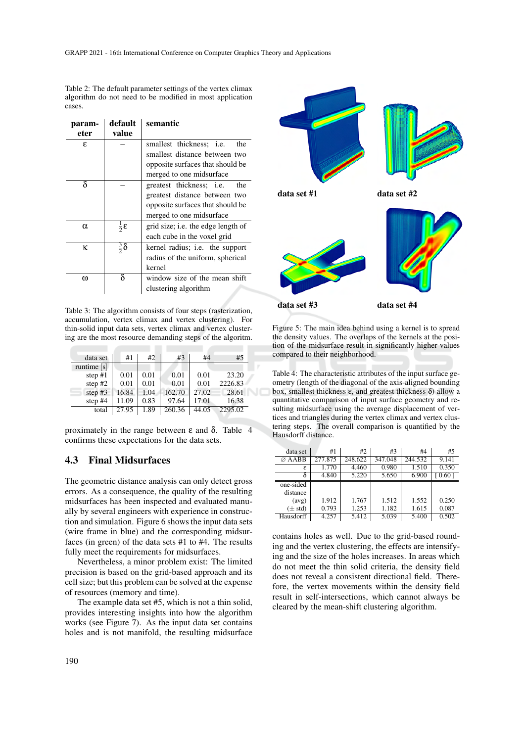Table 2: The default parameter settings of the vertex climax algorithm do not need to be modified in most application cases.

| param- | default                   | semantic                               |
|--------|---------------------------|----------------------------------------|
| eter   | value                     |                                        |
| £.     |                           | smallest thickness; <i>i.e.</i><br>the |
|        |                           | smallest distance between two          |
|        |                           | opposite surfaces that should be       |
|        |                           | merged to one midsurface               |
| δ      |                           | greatest thickness; <i>i.e.</i><br>the |
|        |                           | greatest distance between two          |
|        |                           | opposite surfaces that should be       |
|        |                           | merged to one midsurface               |
| α      | $rac{1}{2}$ $\varepsilon$ | grid size; i.e. the edge length of     |
|        |                           | each cube in the voxel grid            |
| ĸ      | $rac{3}{2}\delta$         | kernel radius; i.e. the support        |
|        |                           | radius of the uniform, spherical       |
|        |                           | kernel                                 |
| ω      |                           | window size of the mean shift          |
|        |                           | clustering algorithm                   |

Table 3: The algorithm consists of four steps (rasterization, accumulation, vertex climax and vertex clustering). For thin-solid input data sets, vertex climax and vertex clustering are the most resource demanding steps of the algoritm.

| data set      | #1    | #2   | #3     | #4    | #5      |
|---------------|-------|------|--------|-------|---------|
| runtime $[s]$ |       |      |        |       |         |
| step $#1$     | 0.01  | 0.01 | 0.01   | 0.01  | 23.20   |
| step $#2$     | 0.01  | 0.01 | 0.01   | 0.01  | 2226.83 |
| step $#3$     | 16.84 | 1.04 | 162.70 | 27.02 | 28.61   |
| step $#4$     | 11.09 | 0.83 | 97.64  | 17.01 | 16.38   |
| total         | 27.95 | 1.89 | 260.36 | 44.05 | 2295.02 |

proximately in the range between  $\varepsilon$  and  $\delta$ . Table 4 confirms these expectations for the data sets.

### 4.3 Final Midsurfaces

The geometric distance analysis can only detect gross errors. As a consequence, the quality of the resulting midsurfaces has been inspected and evaluated manually by several engineers with experience in construction and simulation. Figure 6 shows the input data sets (wire frame in blue) and the corresponding midsurfaces (in green) of the data sets #1 to #4. The results fully meet the requirements for midsurfaces.

Nevertheless, a minor problem exist: The limited precision is based on the grid-based approach and its cell size; but this problem can be solved at the expense of resources (memory and time).

The example data set #5, which is not a thin solid, provides interesting insights into how the algorithm works (see Figure 7). As the input data set contains holes and is not manifold, the resulting midsurface



Figure 5: The main idea behind using a kernel is to spread the density values. The overlaps of the kernels at the position of the midsurface result in significantly higher values compared to their neighborhood.

Table 4: The characteristic attributes of the input surface geometry (length of the diagonal of the axis-aligned bounding box, smallest thickness ε, and greatest thickness δ) allow a quantitative comparison of input surface geometry and resulting midsurface using the average displacement of vertices and triangles during the vertex climax and vertex clustering steps. The overall comparison is quantified by the Hausdorff distance.

| data set           | #1      | #2      | #3      | #4      | #5             |
|--------------------|---------|---------|---------|---------|----------------|
| $\varnothing$ AABB | 277.875 | 248.622 | 347.048 | 244.532 | 9.141          |
| ε                  | 1.770   | 4.460   | 0.980   | 1.510   | 0.350          |
| δ                  | 4.840   | 5.220   | 5.650   | 6.900   | $0.60^{\circ}$ |
| one-sided          |         |         |         |         |                |
| distance           |         |         |         |         |                |
| (avg)              | 1.912   | 1.767   | 1.512   | 1.552   | 0.250          |
| $(\pm std)$        | 0.793   | 1.253   | 1.182   | 1.615   | 0.087          |
| Hausdorff          | 4.257   | 5.412   | 5.039   | 5.400   | 0.502          |

contains holes as well. Due to the grid-based rounding and the vertex clustering, the effects are intensifying and the size of the holes increases. In areas which do not meet the thin solid criteria, the density field does not reveal a consistent directional field. Therefore, the vertex movements within the density field result in self-intersections, which cannot always be cleared by the mean-shift clustering algorithm.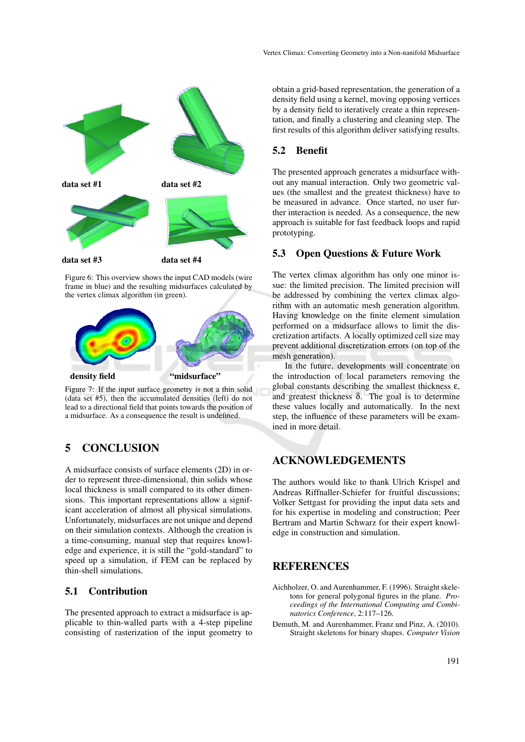

Figure 6: This overview shows the input CAD models (wire frame in blue) and the resulting midsurfaces calculated by the vertex climax algorithm (in green).



Figure 7: If the input surface geometry is not a thin solid (data set #5), then the accumulated densities (left) do not lead to a directional field that points towards the position of a midsurface. As a consequence the result is undefined.

# 5 CONCLUSION

A midsurface consists of surface elements (2D) in order to represent three-dimensional, thin solids whose local thickness is small compared to its other dimensions. This important representations allow a significant acceleration of almost all physical simulations. Unfortunately, midsurfaces are not unique and depend on their simulation contexts. Although the creation is a time-consuming, manual step that requires knowledge and experience, it is still the "gold-standard" to speed up a simulation, if FEM can be replaced by thin-shell simulations.

### 5.1 Contribution

The presented approach to extract a midsurface is applicable to thin-walled parts with a 4-step pipeline consisting of rasterization of the input geometry to

obtain a grid-based representation, the generation of a density field using a kernel, moving opposing vertices by a density field to iteratively create a thin representation, and finally a clustering and cleaning step. The first results of this algorithm deliver satisfying results.

### 5.2 Benefit

The presented approach generates a midsurface without any manual interaction. Only two geometric values (the smallest and the greatest thickness) have to be measured in advance. Once started, no user further interaction is needed. As a consequence, the new approach is suitable for fast feedback loops and rapid prototyping.

### 5.3 Open Questions & Future Work

The vertex climax algorithm has only one minor issue: the limited precision. The limited precision will be addressed by combining the vertex climax algorithm with an automatic mesh generation algorithm. Having knowledge on the finite element simulation performed on a midsurface allows to limit the discretization artifacts. A locally optimized cell size may prevent additional discretization errors (on top of the mesh generation).

In the future, developments will concentrate on the introduction of local parameters removing the global constants describing the smallest thickness  $\varepsilon$ , and greatest thickness  $δ$ . The goal is to determine these values locally and automatically. In the next step, the influence of these parameters will be examined in more detail.

## ACKNOWLEDGEMENTS

The authors would like to thank Ulrich Krispel and Andreas Riffnaller-Schiefer for fruitful discussions; Volker Settgast for providing the input data sets and for his expertise in modeling and construction; Peer Bertram and Martin Schwarz for their expert knowledge in construction and simulation.

### **REFERENCES**

- Aichholzer, O. and Aurenhammer, F. (1996). Straight skeletons for general polygonal figures in the plane. *Proceedings of the International Computing and Combinatorics Conference*, 2:117–126.
- Demuth, M. and Aurenhammer, Franz und Pinz, A. (2010). Straight skeletons for binary shapes. *Computer Vision*